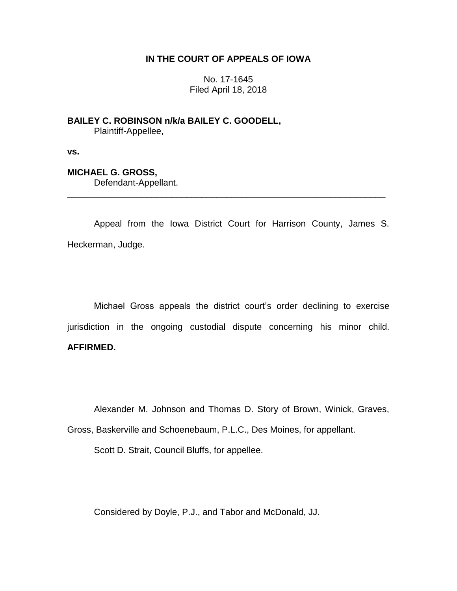## **IN THE COURT OF APPEALS OF IOWA**

No. 17-1645 Filed April 18, 2018

**BAILEY C. ROBINSON n/k/a BAILEY C. GOODELL,** Plaintiff-Appellee,

**vs.**

**MICHAEL G. GROSS,**

Defendant-Appellant.

Appeal from the Iowa District Court for Harrison County, James S. Heckerman, Judge.

\_\_\_\_\_\_\_\_\_\_\_\_\_\_\_\_\_\_\_\_\_\_\_\_\_\_\_\_\_\_\_\_\_\_\_\_\_\_\_\_\_\_\_\_\_\_\_\_\_\_\_\_\_\_\_\_\_\_\_\_\_\_\_\_

Michael Gross appeals the district court's order declining to exercise jurisdiction in the ongoing custodial dispute concerning his minor child. **AFFIRMED.**

Alexander M. Johnson and Thomas D. Story of Brown, Winick, Graves,

Gross, Baskerville and Schoenebaum, P.L.C., Des Moines, for appellant.

Scott D. Strait, Council Bluffs, for appellee.

Considered by Doyle, P.J., and Tabor and McDonald, JJ.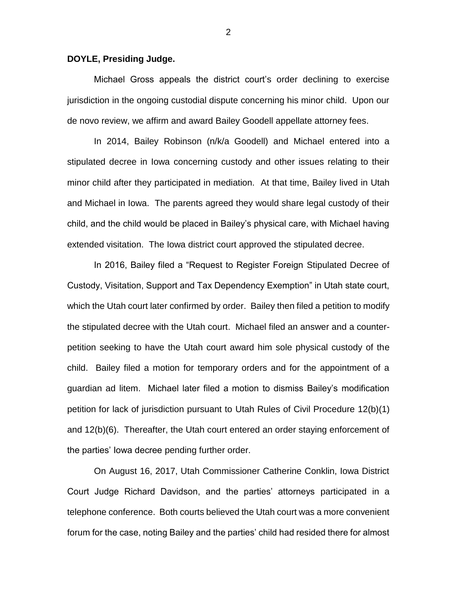## **DOYLE, Presiding Judge.**

Michael Gross appeals the district court's order declining to exercise jurisdiction in the ongoing custodial dispute concerning his minor child. Upon our de novo review, we affirm and award Bailey Goodell appellate attorney fees.

In 2014, Bailey Robinson (n/k/a Goodell) and Michael entered into a stipulated decree in Iowa concerning custody and other issues relating to their minor child after they participated in mediation. At that time, Bailey lived in Utah and Michael in Iowa. The parents agreed they would share legal custody of their child, and the child would be placed in Bailey's physical care, with Michael having extended visitation. The Iowa district court approved the stipulated decree.

In 2016, Bailey filed a "Request to Register Foreign Stipulated Decree of Custody, Visitation, Support and Tax Dependency Exemption" in Utah state court, which the Utah court later confirmed by order. Bailey then filed a petition to modify the stipulated decree with the Utah court. Michael filed an answer and a counterpetition seeking to have the Utah court award him sole physical custody of the child. Bailey filed a motion for temporary orders and for the appointment of a guardian ad litem. Michael later filed a motion to dismiss Bailey's modification petition for lack of jurisdiction pursuant to Utah Rules of Civil Procedure 12(b)(1) and 12(b)(6). Thereafter, the Utah court entered an order staying enforcement of the parties' Iowa decree pending further order.

On August 16, 2017, Utah Commissioner Catherine Conklin, Iowa District Court Judge Richard Davidson, and the parties' attorneys participated in a telephone conference. Both courts believed the Utah court was a more convenient forum for the case, noting Bailey and the parties' child had resided there for almost

2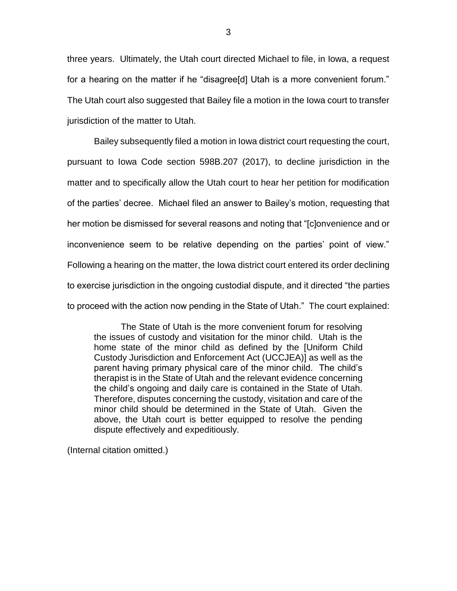three years. Ultimately, the Utah court directed Michael to file, in Iowa, a request for a hearing on the matter if he "disagree[d] Utah is a more convenient forum." The Utah court also suggested that Bailey file a motion in the Iowa court to transfer jurisdiction of the matter to Utah.

Bailey subsequently filed a motion in Iowa district court requesting the court, pursuant to Iowa Code section 598B.207 (2017), to decline jurisdiction in the matter and to specifically allow the Utah court to hear her petition for modification of the parties' decree. Michael filed an answer to Bailey's motion, requesting that her motion be dismissed for several reasons and noting that "[c]onvenience and or inconvenience seem to be relative depending on the parties' point of view." Following a hearing on the matter, the Iowa district court entered its order declining to exercise jurisdiction in the ongoing custodial dispute, and it directed "the parties to proceed with the action now pending in the State of Utah." The court explained:

The State of Utah is the more convenient forum for resolving the issues of custody and visitation for the minor child. Utah is the home state of the minor child as defined by the [Uniform Child Custody Jurisdiction and Enforcement Act (UCCJEA)] as well as the parent having primary physical care of the minor child. The child's therapist is in the State of Utah and the relevant evidence concerning the child's ongoing and daily care is contained in the State of Utah. Therefore, disputes concerning the custody, visitation and care of the minor child should be determined in the State of Utah. Given the above, the Utah court is better equipped to resolve the pending dispute effectively and expeditiously.

(Internal citation omitted.)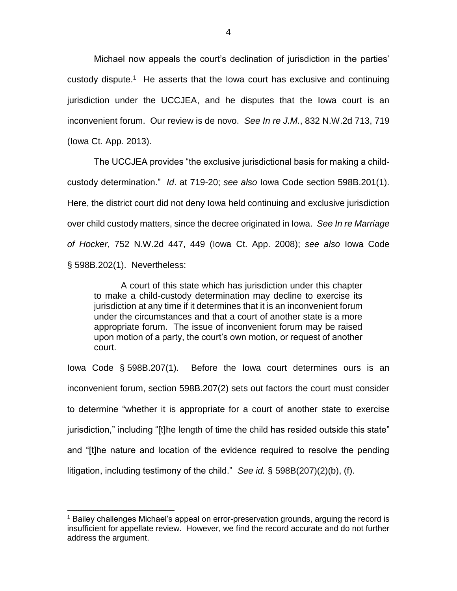Michael now appeals the court's declination of jurisdiction in the parties' custody dispute.<sup>1</sup> He asserts that the lowa court has exclusive and continuing jurisdiction under the UCCJEA, and he disputes that the Iowa court is an inconvenient forum. Our review is de novo. *See In re J.M.*, 832 N.W.2d 713, 719 (Iowa Ct. App. 2013).

The UCCJEA provides "the exclusive jurisdictional basis for making a childcustody determination." *Id*. at 719-20; *see also* Iowa Code section 598B.201(1). Here, the district court did not deny Iowa held continuing and exclusive jurisdiction over child custody matters, since the decree originated in Iowa. *See In re Marriage of Hocker*, 752 N.W.2d 447, 449 (Iowa Ct. App. 2008); *see also* Iowa Code § 598B.202(1). Nevertheless:

A court of this state which has jurisdiction under this chapter to make a child-custody determination may decline to exercise its jurisdiction at any time if it determines that it is an inconvenient forum under the circumstances and that a court of another state is a more appropriate forum. The issue of inconvenient forum may be raised upon motion of a party, the court's own motion, or request of another court.

Iowa Code § 598B.207(1). Before the Iowa court determines ours is an inconvenient forum, section 598B.207(2) sets out factors the court must consider to determine "whether it is appropriate for a court of another state to exercise jurisdiction," including "[t]he length of time the child has resided outside this state" and "[t]he nature and location of the evidence required to resolve the pending litigation, including testimony of the child." *See id.* § 598B(207)(2)(b), (f).

 $\overline{a}$ 

<sup>&</sup>lt;sup>1</sup> Bailey challenges Michael's appeal on error-preservation grounds, arguing the record is insufficient for appellate review. However, we find the record accurate and do not further address the argument.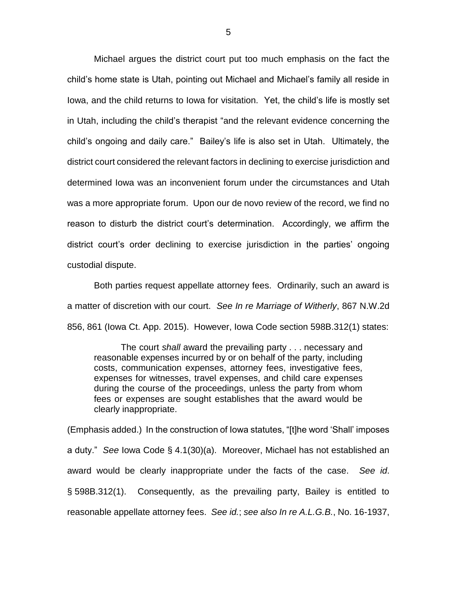Michael argues the district court put too much emphasis on the fact the child's home state is Utah, pointing out Michael and Michael's family all reside in Iowa, and the child returns to Iowa for visitation. Yet, the child's life is mostly set in Utah, including the child's therapist "and the relevant evidence concerning the child's ongoing and daily care." Bailey's life is also set in Utah. Ultimately, the district court considered the relevant factors in declining to exercise jurisdiction and determined Iowa was an inconvenient forum under the circumstances and Utah was a more appropriate forum. Upon our de novo review of the record, we find no reason to disturb the district court's determination. Accordingly, we affirm the district court's order declining to exercise jurisdiction in the parties' ongoing custodial dispute.

Both parties request appellate attorney fees. Ordinarily, such an award is a matter of discretion with our court. *See In re Marriage of Witherly*, 867 N.W.2d 856, 861 (Iowa Ct. App. 2015). However, Iowa Code section 598B.312(1) states:

The court *shall* award the prevailing party . . . necessary and reasonable expenses incurred by or on behalf of the party, including costs, communication expenses, attorney fees, investigative fees, expenses for witnesses, travel expenses, and child care expenses during the course of the proceedings, unless the party from whom fees or expenses are sought establishes that the award would be clearly inappropriate.

(Emphasis added.) In the construction of Iowa statutes, "[t]he word 'Shall' imposes a duty." *See* Iowa Code § 4.1(30)(a). Moreover, Michael has not established an award would be clearly inappropriate under the facts of the case. *See id*. § 598B.312(1). Consequently, as the prevailing party, Bailey is entitled to reasonable appellate attorney fees. *See id.*; *see also In re A.L.G.B.*, No. 16-1937,